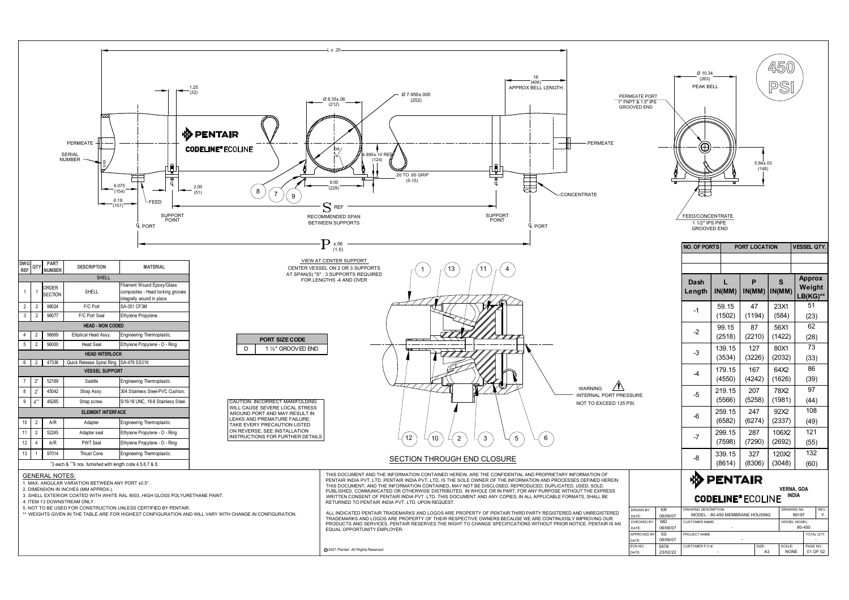

|                                                                                                          | PERMEATE PORT<br>1" FNPT & 1.5" IPS<br><b>GROOVED END</b> |                      | Ø 10.34<br>(263)<br>PEAK BELL                                             |                  |                                   | 450<br>$\bigotimes'$<br>$\vert \mathsf{P}$ |                                                     |
|----------------------------------------------------------------------------------------------------------|-----------------------------------------------------------|----------------------|---------------------------------------------------------------------------|------------------|-----------------------------------|--------------------------------------------|-----------------------------------------------------|
| - PERMEATE<br>NTRATE                                                                                     |                                                           | ਢ                    | $\bigoplus$<br>時                                                          | H                | $5.84 \pm .03$<br>(148)           |                                            |                                                     |
|                                                                                                          |                                                           |                      | FEED/CONCENTRATE<br>1 1/2" IPS PIPE<br><b>GROOVED END</b><br>NO. OF PORTS |                  | PORT LOCATION                     |                                            | <b>VESSEL QTY.</b>                                  |
|                                                                                                          |                                                           |                      | Dash<br>Length                                                            | IN(MM)           | $\mathsf{P}$<br>$IN(MM)$ $IN(MM)$ | $\mathbf{s}$                               | <b>Approx</b><br>Weight<br>$LB(KG)$ **              |
|                                                                                                          |                                                           |                      | $-1$                                                                      | 59.15<br>(1502)  | 47<br>(1194)                      | 23X1<br>(584)                              | 51<br>(23)                                          |
|                                                                                                          |                                                           |                      | $-2$                                                                      | 99.15<br>(2518)  | 87<br>(2210)                      | 56X1<br>(1422)                             | 62<br>(28)                                          |
|                                                                                                          |                                                           |                      | $-3$                                                                      | 139.15<br>(3534) | 127<br>(3226)                     | 80X1<br>(2032)                             | 73<br>(33)                                          |
|                                                                                                          |                                                           |                      | $-4$                                                                      | 179.15<br>(4550) | 167<br>(4242)                     | 64X2<br>(1626)                             | 86<br>(39)                                          |
| $\langle \mathbf{l} \rangle$<br><b>WARNING</b><br>NTERNAL PORT PRESSURE<br><b>IOT TO EXCEED 125 PSI.</b> |                                                           |                      | $-5$                                                                      | 219.15<br>(5566) | 207<br>(5258)                     | 78X2<br>(1981)                             | 97<br>(44)                                          |
|                                                                                                          |                                                           |                      | $-6$                                                                      | 259.15<br>(6582) | 247<br>(6274)                     | 92X2<br>(2337)                             | 108<br>(49)                                         |
|                                                                                                          |                                                           |                      | $-7$                                                                      | 299.15<br>(7598) | 287<br>(7290)                     | 106X2<br>(2692)                            | 121<br>(55)                                         |
|                                                                                                          |                                                           |                      | -8                                                                        | 339.15<br>(8614) | 327<br>(8306)                     | 120X2<br>(3048)                            | 132<br>(60)                                         |
| <b>RMATION OF</b><br>DEFINED HEREIN.<br>SED, SOLD,<br><b>JT THE EXPRESS</b><br>TS, SHALL BE              |                                                           |                      | ゆ                                                                         | <b>PENTAIR</b>   | <b>CODELINE® ECOLINE</b>          |                                            | <b>VERNA, GOA</b><br>INDIA                          |
| <b>D UNREGISTERED</b><br><b>IPROVING OUR</b><br>ICE. PENTAIR IS AN                                       | DRAWN BY:<br>DATE:<br>CHECKED BY:                         | KR<br>06/06/07<br>MD | DRAWING DESCRIPTION:<br><b>CUSTOMER NAME:</b>                             |                  | MODEL - 80-450 MEMBRANE HOUSING   |                                            | REV.<br>DRAWING NO.:<br>Y<br>99197<br>VESSEL MODEL: |
|                                                                                                          | DATE:<br>APPROVED BY:                                     | 06/06/07<br>SS       | PROJECT NAME:                                                             | $\sim$           | $\sim$                            |                                            | 80-450<br>TOTAL QTY:<br>$\sim$                      |